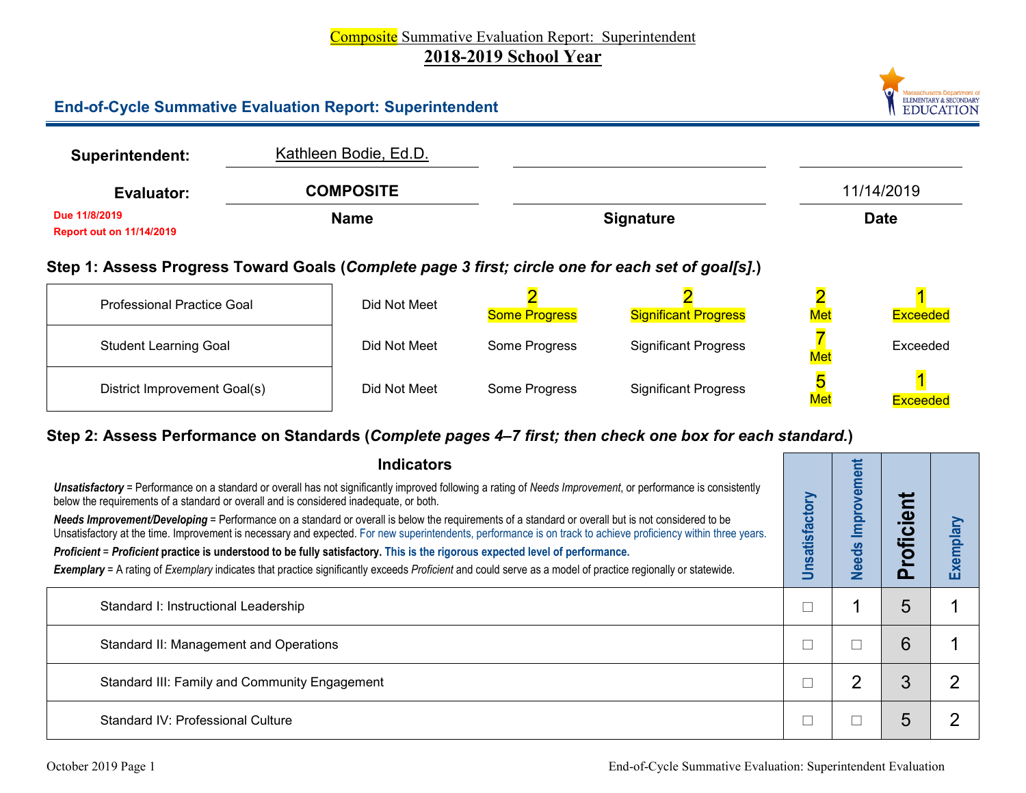# Composite Summative Evaluation Report: Superintendent **2018-2019 School Year**

### **End-of-Cycle Summative Evaluation Report: Superintendent**

| <b>Superintendent:</b>                           | Kathleen Bodie, Ed.D. |                  |             |
|--------------------------------------------------|-----------------------|------------------|-------------|
| Evaluator:                                       | <b>COMPOSITE</b>      |                  | 11/14/2019  |
| Due 11/8/2019<br><b>Report out on 11/14/2019</b> | <b>Name</b>           | <b>Signature</b> | <b>Date</b> |

# **Step 1: Assess Progress Toward Goals (***Complete page 3 first; circle one for each set of goal[s].***)**

| <b>Professional Practice Goal</b> | Did Not Meet | <b>Some Progress</b> | <b>Significant Progress</b> | Met | Exceeded        |
|-----------------------------------|--------------|----------------------|-----------------------------|-----|-----------------|
| <b>Student Learning Goal</b>      | Did Not Meet | Some Progress        | <b>Significant Progress</b> | Met | Exceeded        |
| District Improvement Goal(s)      | Did Not Meet | Some Progress        | <b>Significant Progress</b> | Met | <b>Exceeded</b> |

# **Step 2: Assess Performance on Standards (***Complete pages 4–7 first; then check one box for each standard.***)**

| <b>Indicators</b>                                                                                                                                                                                                                                                                                                    |           | ment         |                                      |           |
|----------------------------------------------------------------------------------------------------------------------------------------------------------------------------------------------------------------------------------------------------------------------------------------------------------------------|-----------|--------------|--------------------------------------|-----------|
| Unsatisfactory = Performance on a standard or overall has not significantly improved following a rating of Needs Improvement, or performance is consistently<br>below the requirements of a standard or overall and is considered inadequate, or both.                                                               |           | g<br>9       |                                      |           |
| Needs Improvement/Developing = Performance on a standard or overall is below the requirements of a standard or overall but is not considered to be<br>Unsatisfactory at the time. Improvement is necessary and expected. For new superintendents, performance is on track to achieve proficiency within three years. | atisfacto | <u>lau</u>   | $\boldsymbol{\omega}$<br>$\mathbf c$ | Exemplary |
| Proficient = Proficient practice is understood to be fully satisfactory. This is the rigorous expected level of performance.                                                                                                                                                                                         |           | <b>Needs</b> |                                      |           |
| Exemplary = A rating of Exemplary indicates that practice significantly exceeds Proficient and could serve as a model of practice regionally or statewide.                                                                                                                                                           |           |              |                                      |           |
| Standard I: Instructional Leadership                                                                                                                                                                                                                                                                                 |           |              | 5                                    |           |
| Standard II: Management and Operations                                                                                                                                                                                                                                                                               |           |              | 6                                    |           |
| Standard III: Family and Community Engagement                                                                                                                                                                                                                                                                        |           | າ            | 3                                    | r         |
| Standard IV: Professional Culture                                                                                                                                                                                                                                                                                    |           |              | $\mathfrak h$                        |           |

Massachusetts Department of<br>ELEMENTARY & SECONDARY **EDUCATION**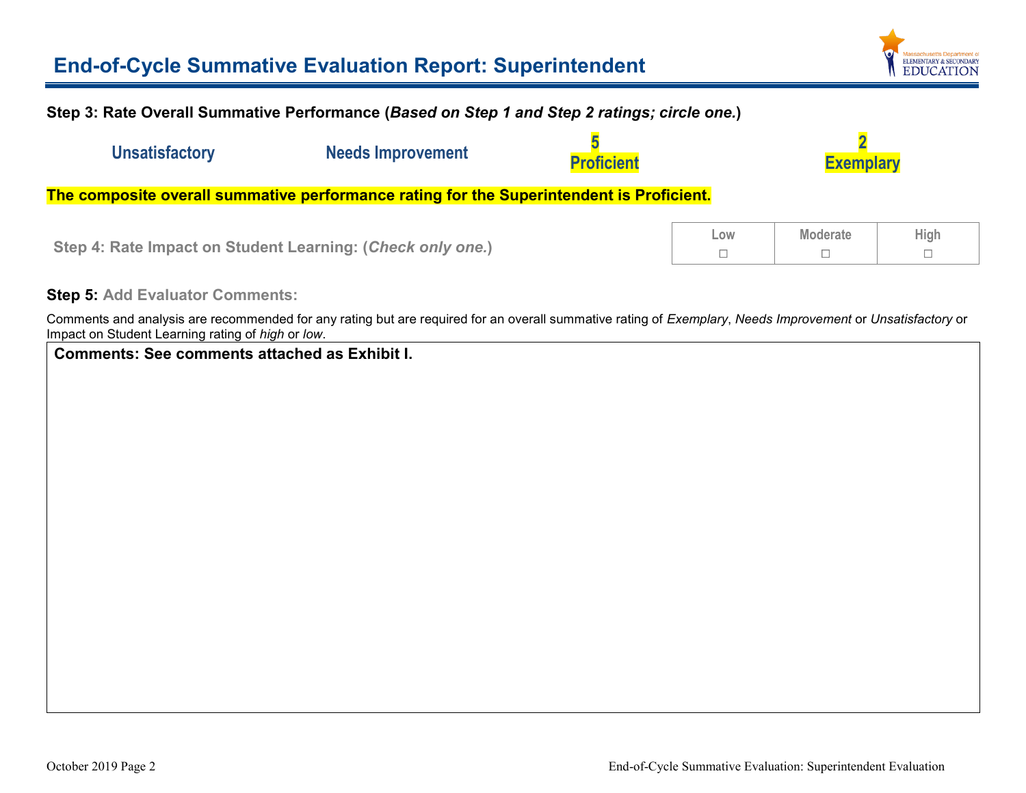# **End-of-Cycle Summative Evaluation Report: Superintendent**



#### **Step 3: Rate Overall Summative Performance (***Based on Step 1 and Step 2 ratings; circle one.***)**

| <b>Unsatisfactory</b>                                                                    | <b>Needs Improvement</b> | <b>Proficient</b> |     | <b>Exemplary</b> |             |  |  |  |
|------------------------------------------------------------------------------------------|--------------------------|-------------------|-----|------------------|-------------|--|--|--|
| The composite overall summative performance rating for the Superintendent is Proficient. |                          |                   |     |                  |             |  |  |  |
| Step 4: Rate Impact on Student Learning: (Check only one.)                               |                          |                   | Low | <b>Moderate</b>  | <b>High</b> |  |  |  |

#### **Step 5: Add Evaluator Comments:**

Comments and analysis are recommended for any rating but are required for an overall summative rating of *Exemplary*, *Needs Improvement* or *Unsatisfactory* or Impact on Student Learning rating of *high* or *low*.

**Comments: See comments attached as Exhibit I.**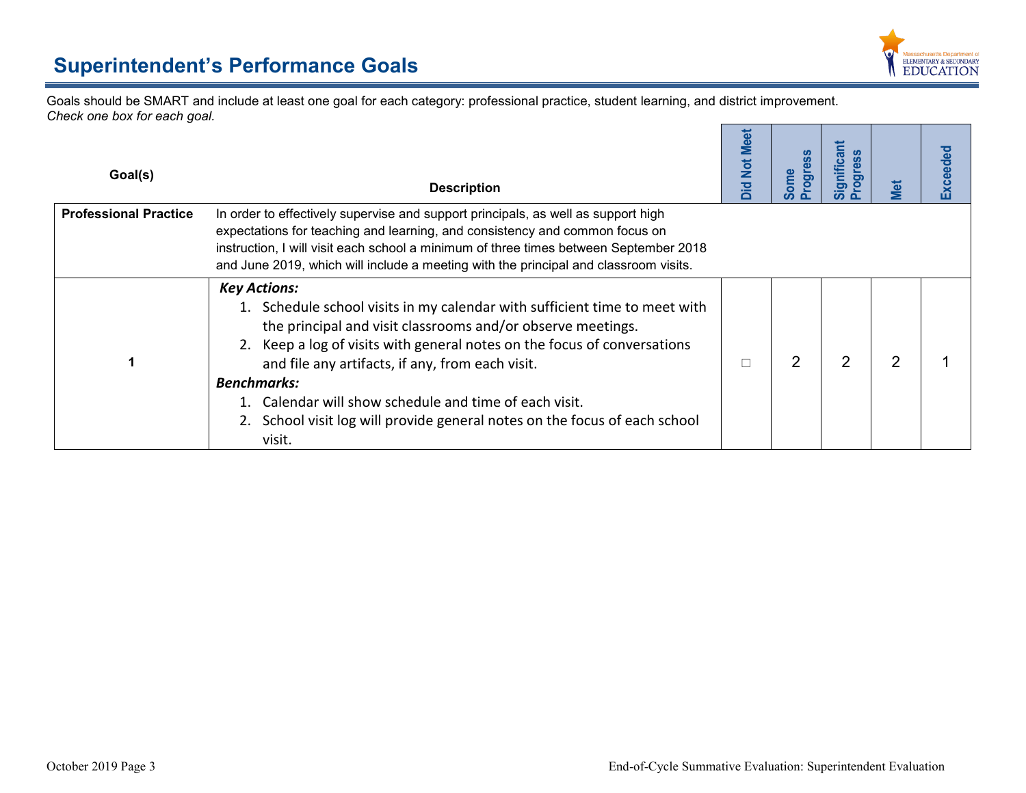

Goals should be SMART and include at least one goal for each category: professional practice, student learning, and district improvement. *Check one box for each goal.* r.

| Goal(s)                      | <b>Description</b>                                                                                                                                                                                                                                                                                                                                                                                                                                                       | <b>Not Meet</b><br>Did | <b>Progress</b><br>Some | Significant<br><b>Progress</b> | Met            | <b>Exceeded</b> |
|------------------------------|--------------------------------------------------------------------------------------------------------------------------------------------------------------------------------------------------------------------------------------------------------------------------------------------------------------------------------------------------------------------------------------------------------------------------------------------------------------------------|------------------------|-------------------------|--------------------------------|----------------|-----------------|
| <b>Professional Practice</b> | In order to effectively supervise and support principals, as well as support high<br>expectations for teaching and learning, and consistency and common focus on<br>instruction, I will visit each school a minimum of three times between September 2018<br>and June 2019, which will include a meeting with the principal and classroom visits.                                                                                                                        |                        |                         |                                |                |                 |
|                              | <b>Key Actions:</b><br>1. Schedule school visits in my calendar with sufficient time to meet with<br>the principal and visit classrooms and/or observe meetings.<br>2. Keep a log of visits with general notes on the focus of conversations<br>and file any artifacts, if any, from each visit.<br><b>Benchmarks:</b><br>1. Calendar will show schedule and time of each visit.<br>2. School visit log will provide general notes on the focus of each school<br>visit. | П                      | $\overline{2}$          | $\overline{2}$                 | $\overline{2}$ |                 |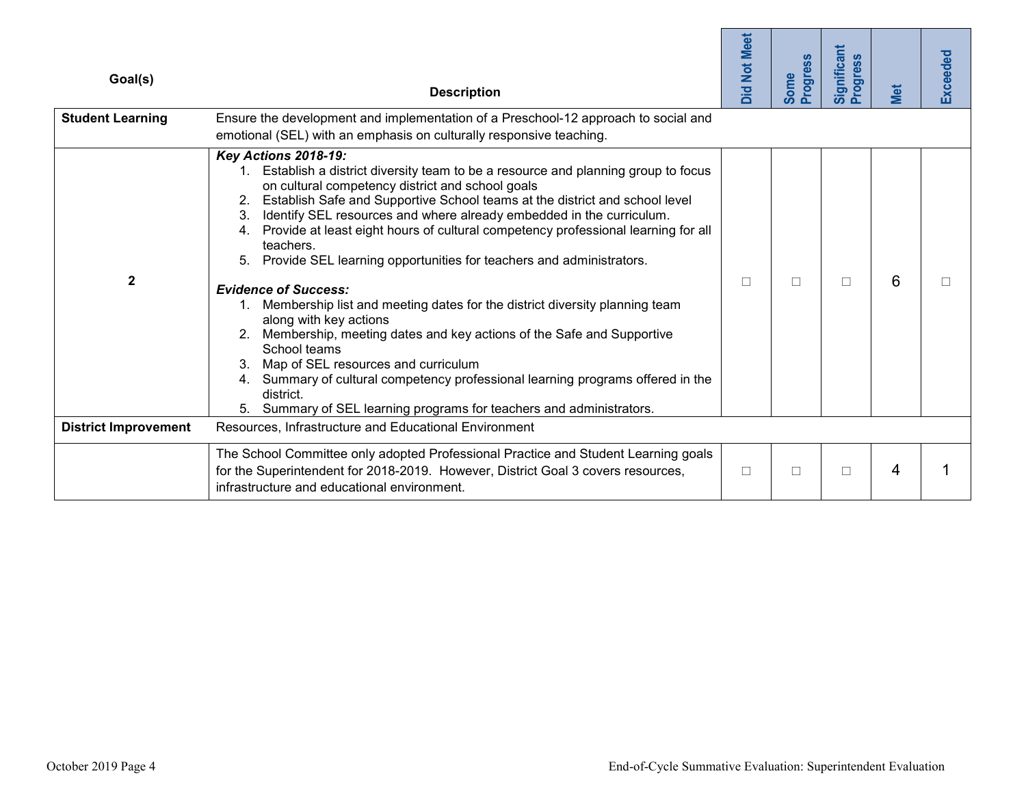| Goal(s)                     | <b>Description</b>                                                                                                                                                                                                                                                                                                                                                                                                                                                                                                                                                                                                                                                                                                                                                                                                                                                                                                                                                                 | <b>Did Not Meet</b> | Progress<br><b>Some</b> | Significant<br>Progress | Met | <b>Exceeded</b> |
|-----------------------------|------------------------------------------------------------------------------------------------------------------------------------------------------------------------------------------------------------------------------------------------------------------------------------------------------------------------------------------------------------------------------------------------------------------------------------------------------------------------------------------------------------------------------------------------------------------------------------------------------------------------------------------------------------------------------------------------------------------------------------------------------------------------------------------------------------------------------------------------------------------------------------------------------------------------------------------------------------------------------------|---------------------|-------------------------|-------------------------|-----|-----------------|
| <b>Student Learning</b>     | Ensure the development and implementation of a Preschool-12 approach to social and<br>emotional (SEL) with an emphasis on culturally responsive teaching.                                                                                                                                                                                                                                                                                                                                                                                                                                                                                                                                                                                                                                                                                                                                                                                                                          |                     |                         |                         |     |                 |
| $\mathbf 2$                 | <b>Key Actions 2018-19:</b><br>1. Establish a district diversity team to be a resource and planning group to focus<br>on cultural competency district and school goals<br>Establish Safe and Supportive School teams at the district and school level<br>Identify SEL resources and where already embedded in the curriculum.<br>3 <sub>1</sub><br>4. Provide at least eight hours of cultural competency professional learning for all<br>teachers.<br>Provide SEL learning opportunities for teachers and administrators.<br><b>Evidence of Success:</b><br>1. Membership list and meeting dates for the district diversity planning team<br>along with key actions<br>2. Membership, meeting dates and key actions of the Safe and Supportive<br>School teams<br>3. Map of SEL resources and curriculum<br>4. Summary of cultural competency professional learning programs offered in the<br>district.<br>5. Summary of SEL learning programs for teachers and administrators. | $\Box$              | $\Box$                  | П                       | 6   | Ш               |
| <b>District Improvement</b> | Resources, Infrastructure and Educational Environment                                                                                                                                                                                                                                                                                                                                                                                                                                                                                                                                                                                                                                                                                                                                                                                                                                                                                                                              |                     |                         |                         |     |                 |
|                             | The School Committee only adopted Professional Practice and Student Learning goals<br>for the Superintendent for 2018-2019. However, District Goal 3 covers resources,<br>infrastructure and educational environment.                                                                                                                                                                                                                                                                                                                                                                                                                                                                                                                                                                                                                                                                                                                                                              | $\Box$              | $\Box$                  | $\Box$                  | 4   |                 |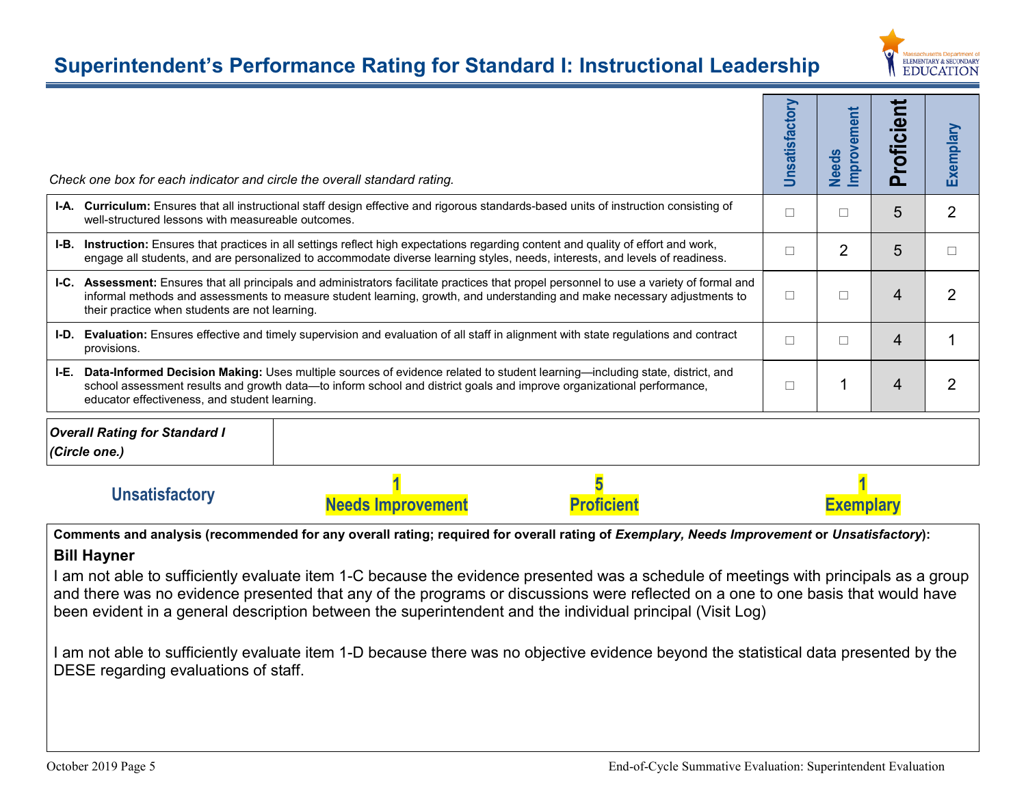# **Superintendent's Performance Rating for Standard I: Instructional Leadership**



|                                                                        | Check one box for each indicator and circle the overall standard rating.                                                                                                                                                                                                                                                 |  | Unsatisfactory | mprovement<br><b>Needs</b> | Proficient | Exemplary      |
|------------------------------------------------------------------------|--------------------------------------------------------------------------------------------------------------------------------------------------------------------------------------------------------------------------------------------------------------------------------------------------------------------------|--|----------------|----------------------------|------------|----------------|
|                                                                        | I-A. Curriculum: Ensures that all instructional staff design effective and rigorous standards-based units of instruction consisting of<br>well-structured lessons with measureable outcomes.                                                                                                                             |  |                | П                          | 5          | $\overline{2}$ |
| I-B.                                                                   | Instruction: Ensures that practices in all settings reflect high expectations regarding content and quality of effort and work,<br>engage all students, and are personalized to accommodate diverse learning styles, needs, interests, and levels of readiness.                                                          |  |                |                            | 5          | П              |
|                                                                        | I-C. Assessment: Ensures that all principals and administrators facilitate practices that propel personnel to use a variety of formal and<br>informal methods and assessments to measure student learning, growth, and understanding and make necessary adjustments to<br>their practice when students are not learning. |  |                | $\Box$                     | 4          | $\overline{2}$ |
| I-D.                                                                   | Evaluation: Ensures effective and timely supervision and evaluation of all staff in alignment with state regulations and contract<br>provisions.                                                                                                                                                                         |  |                |                            | 4          |                |
| I-E.                                                                   | Data-Informed Decision Making: Uses multiple sources of evidence related to student learning-including state, district, and<br>school assessment results and growth data—to inform school and district goals and improve organizational performance,<br>educator effectiveness, and student learning.                    |  |                | 1                          | 4          | $\overline{2}$ |
|                                                                        | <b>Overall Rating for Standard I</b><br>(Circle one.)                                                                                                                                                                                                                                                                    |  |                |                            |            |                |
| <b>Unsatisfactory</b><br><b>Proficient</b><br><b>Needs Improvement</b> |                                                                                                                                                                                                                                                                                                                          |  |                | <b>Exemplary</b>           |            |                |
|                                                                        | Comments and analysis (recommended for any overall rating; required for overall rating of Exemplary, Needs Improvement or Unsatisfactory):<br><b>Bill Hayner</b>                                                                                                                                                         |  |                |                            |            |                |

I am not able to sufficiently evaluate item 1-C because the evidence presented was a schedule of meetings with principals as a group and there was no evidence presented that any of the programs or discussions were reflected on a one to one basis that would have been evident in a general description between the superintendent and the individual principal (Visit Log)

I am not able to sufficiently evaluate item 1-D because there was no objective evidence beyond the statistical data presented by the DESE regarding evaluations of staff.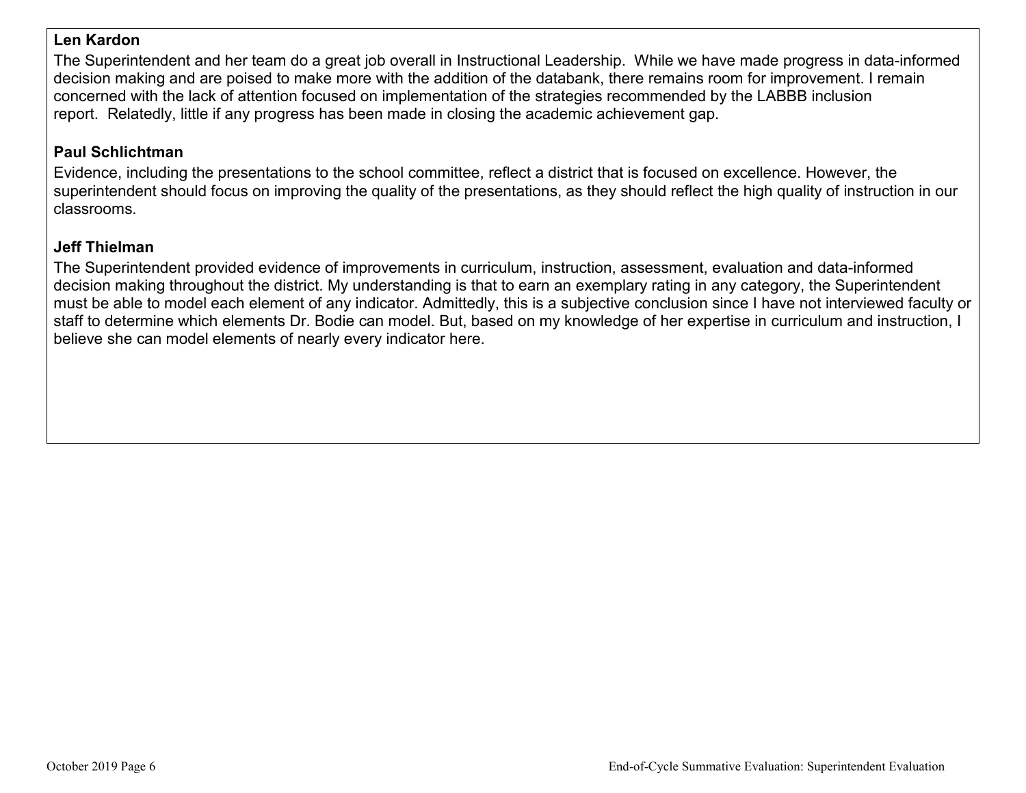### **Len Kardon**

The Superintendent and her team do a great job overall in Instructional Leadership. While we have made progress in data-informed decision making and are poised to make more with the addition of the databank, there remains room for improvement. I remain concerned with the lack of attention focused on implementation of the strategies recommended by the LABBB inclusion report. Relatedly, little if any progress has been made in closing the academic achievement gap.

# **Paul Schlichtman**

Evidence, including the presentations to the school committee, reflect a district that is focused on excellence. However, the superintendent should focus on improving the quality of the presentations, as they should reflect the high quality of instruction in our classrooms.

# **Jeff Thielman**

The Superintendent provided evidence of improvements in curriculum, instruction, assessment, evaluation and data-informed decision making throughout the district. My understanding is that to earn an exemplary rating in any category, the Superintendent must be able to model each element of any indicator. Admittedly, this is a subjective conclusion since I have not interviewed faculty or staff to determine which elements Dr. Bodie can model. But, based on my knowledge of her expertise in curriculum and instruction, I believe she can model elements of nearly every indicator here.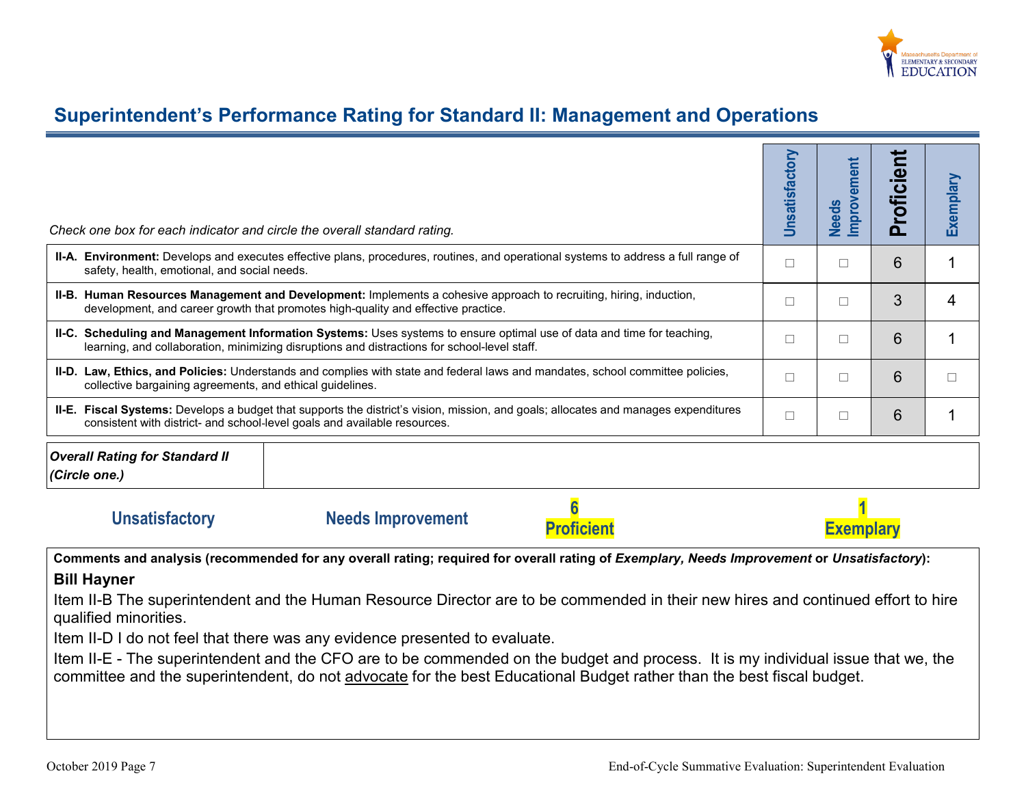

# **Superintendent's Performance Rating for Standard II: Management and Operations**

| Check one box for each indicator and circle the overall standard rating.                                                                                                                                                                                                                                                                                                                                                                                                                                                   | Unsatisfactory | <b>Improvement</b><br><b>Needs</b> | Proficient | Exemplary   |  |  |  |
|----------------------------------------------------------------------------------------------------------------------------------------------------------------------------------------------------------------------------------------------------------------------------------------------------------------------------------------------------------------------------------------------------------------------------------------------------------------------------------------------------------------------------|----------------|------------------------------------|------------|-------------|--|--|--|
| II-A. Environment: Develops and executes effective plans, procedures, routines, and operational systems to address a full range of<br>safety, health, emotional, and social needs.                                                                                                                                                                                                                                                                                                                                         | П              | $\Box$                             | 6          | $\mathbf 1$ |  |  |  |
| II-B. Human Resources Management and Development: Implements a cohesive approach to recruiting, hiring, induction,<br>development, and career growth that promotes high-quality and effective practice.                                                                                                                                                                                                                                                                                                                    | П              | $\Box$                             | 3          | 4           |  |  |  |
| II-C. Scheduling and Management Information Systems: Uses systems to ensure optimal use of data and time for teaching,<br>learning, and collaboration, minimizing disruptions and distractions for school-level staff.                                                                                                                                                                                                                                                                                                     | П              | $\Box$                             | 6          | 1           |  |  |  |
| II-D. Law, Ethics, and Policies: Understands and complies with state and federal laws and mandates, school committee policies,<br>collective bargaining agreements, and ethical guidelines.                                                                                                                                                                                                                                                                                                                                | П              | $\Box$                             | 6          | $\Box$      |  |  |  |
| II-E. Fiscal Systems: Develops a budget that supports the district's vision, mission, and goals; allocates and manages expenditures<br>consistent with district- and school-level goals and available resources.                                                                                                                                                                                                                                                                                                           | $\Box$         | $\Box$                             | 6          | 1           |  |  |  |
| <b>Overall Rating for Standard II</b><br>(Circle one.)                                                                                                                                                                                                                                                                                                                                                                                                                                                                     |                |                                    |            |             |  |  |  |
| <b>Unsatisfactory</b><br><b>Needs Improvement</b><br><b>Proficien</b>                                                                                                                                                                                                                                                                                                                                                                                                                                                      |                | <b>Exemplary</b>                   |            |             |  |  |  |
| Comments and analysis (recommended for any overall rating; required for overall rating of Exemplary, Needs Improvement or Unsatisfactory):                                                                                                                                                                                                                                                                                                                                                                                 |                |                                    |            |             |  |  |  |
| <b>Bill Hayner</b><br>Item II-B The superintendent and the Human Resource Director are to be commended in their new hires and continued effort to hire<br>qualified minorities.<br>Item II-D I do not feel that there was any evidence presented to evaluate.<br>Item II-E - The superintendent and the CFO are to be commended on the budget and process. It is my individual issue that we, the<br>committee and the superintendent, do not advocate for the best Educational Budget rather than the best fiscal budget. |                |                                    |            |             |  |  |  |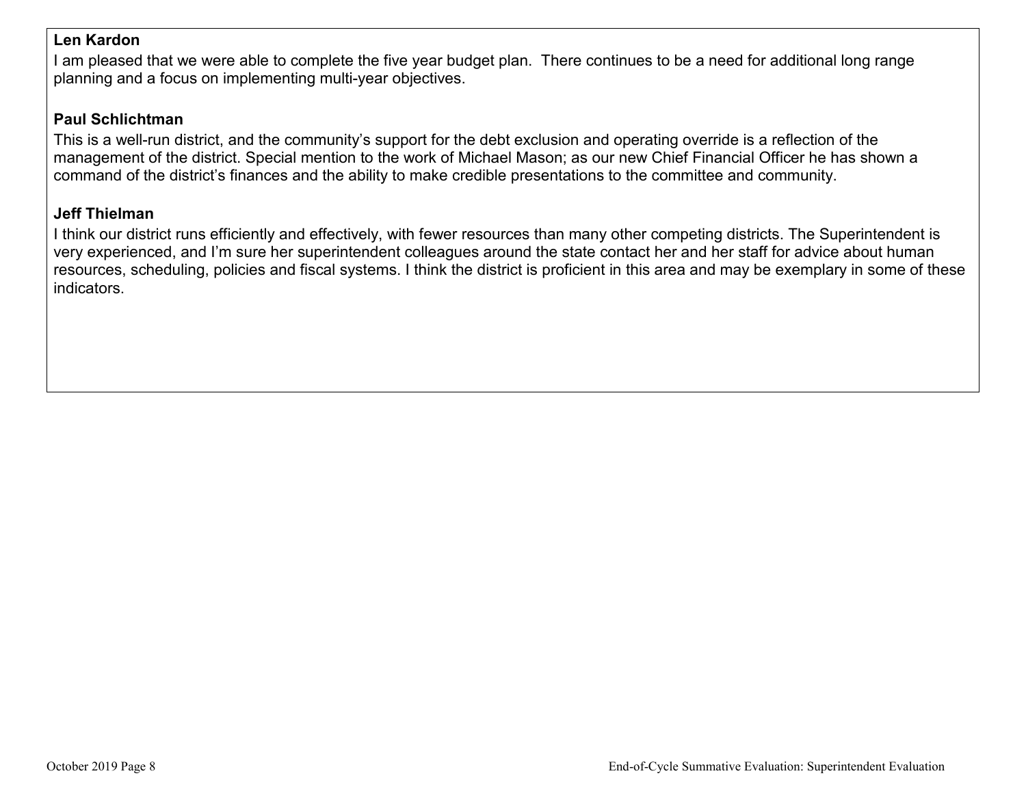### **Len Kardon**

I am pleased that we were able to complete the five year budget plan. There continues to be a need for additional long range planning and a focus on implementing multi-year objectives.

# **Paul Schlichtman**

This is a well-run district, and the community's support for the debt exclusion and operating override is a reflection of the management of the district. Special mention to the work of Michael Mason; as our new Chief Financial Officer he has shown a command of the district's finances and the ability to make credible presentations to the committee and community.

### **Jeff Thielman**

I think our district runs efficiently and effectively, with fewer resources than many other competing districts. The Superintendent is very experienced, and I'm sure her superintendent colleagues around the state contact her and her staff for advice about human resources, scheduling, policies and fiscal systems. I think the district is proficient in this area and may be exemplary in some of these indicators.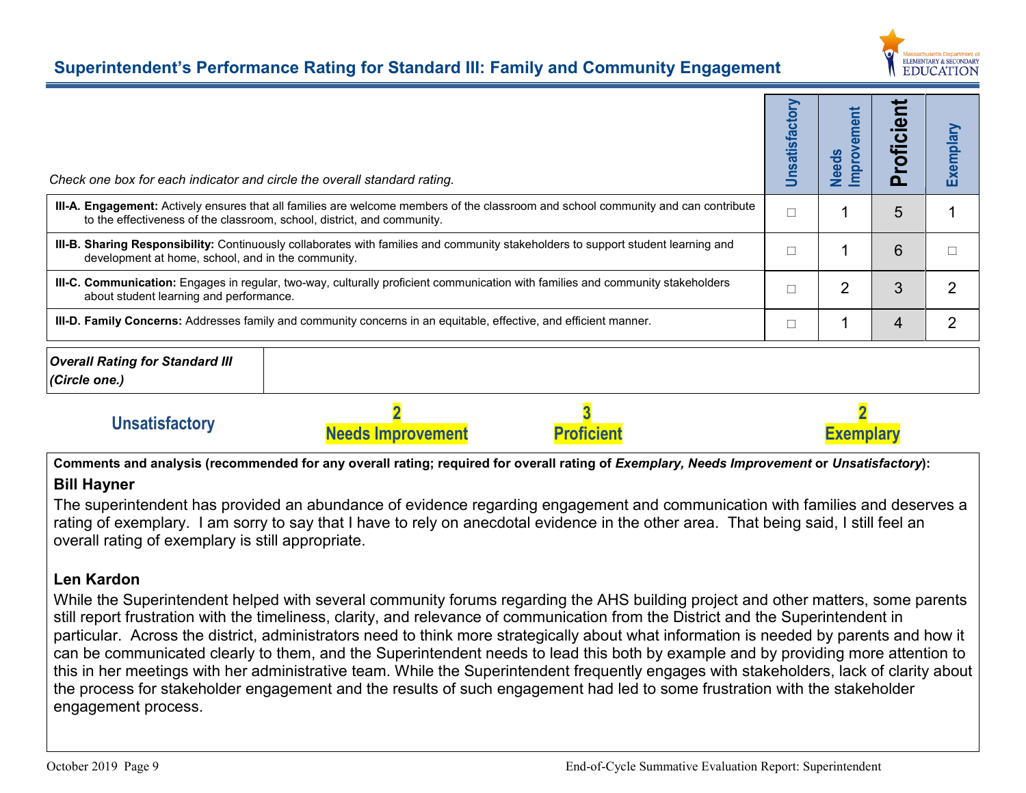

# **Superintendent's Performance Rating for Standard III: Family and Community Engagement**

| Check one box for each indicator and circle the overall standard rating. |                                                                                                                                    | Unsatisfactory | ement<br>Improve<br><b>Needs</b> | മ<br>ofici<br>ൎ | Exemplary     |
|--------------------------------------------------------------------------|------------------------------------------------------------------------------------------------------------------------------------|----------------|----------------------------------|-----------------|---------------|
| to the effectiveness of the classroom, school, district, and community.  | III-A. Engagement: Actively ensures that all families are welcome members of the classroom and school community and can contribute | $\Box$         |                                  | 5               |               |
| development at home, school, and in the community.                       | III-B. Sharing Responsibility: Continuously collaborates with families and community stakeholders to support student learning and  |                |                                  | 6               |               |
| about student learning and performance.                                  | III-C. Communication: Engages in regular, two-way, culturally proficient communication with families and community stakeholders    | Г              | 2                                | 3               | $\mathcal{P}$ |
|                                                                          | <b>III-D. Family Concerns:</b> Addresses family and community concerns in an equitable, effective, and efficient manner.           | ⊏              |                                  | 4               | 2             |
| <b>Overall Rating for Standard III</b><br>(Circle one.)                  |                                                                                                                                    |                |                                  |                 |               |
| <b>Unsatisfactory</b>                                                    | <b>Proficien</b><br><b>Needs Improvement</b>                                                                                       |                | <b>Exemplar</b>                  |                 |               |

Comments and analysis (recommended for any overall rating; required for overall rating of *Exemplary, Needs Improvement* or *Unsatisfactory*):

# **Bill Hayner**

The superintendent has provided an abundance of evidence regarding engagement and communication with families and deserves a rating of exemplary. I am sorry to say that I have to rely on anecdotal evidence in the other area. That being said, I still feel an overall rating of exemplary is still appropriate.

# **Len Kardon**

While the Superintendent helped with several community forums regarding the AHS building project and other matters, some parents still report frustration with the timeliness, clarity, and relevance of communication from the District and the Superintendent in particular. Across the district, administrators need to think more strategically about what information is needed by parents and how it can be communicated clearly to them, and the Superintendent needs to lead this both by example and by providing more attention to this in her meetings with her administrative team. While the Superintendent frequently engages with stakeholders, lack of clarity about the process for stakeholder engagement and the results of such engagement had led to some frustration with the stakeholder engagement process.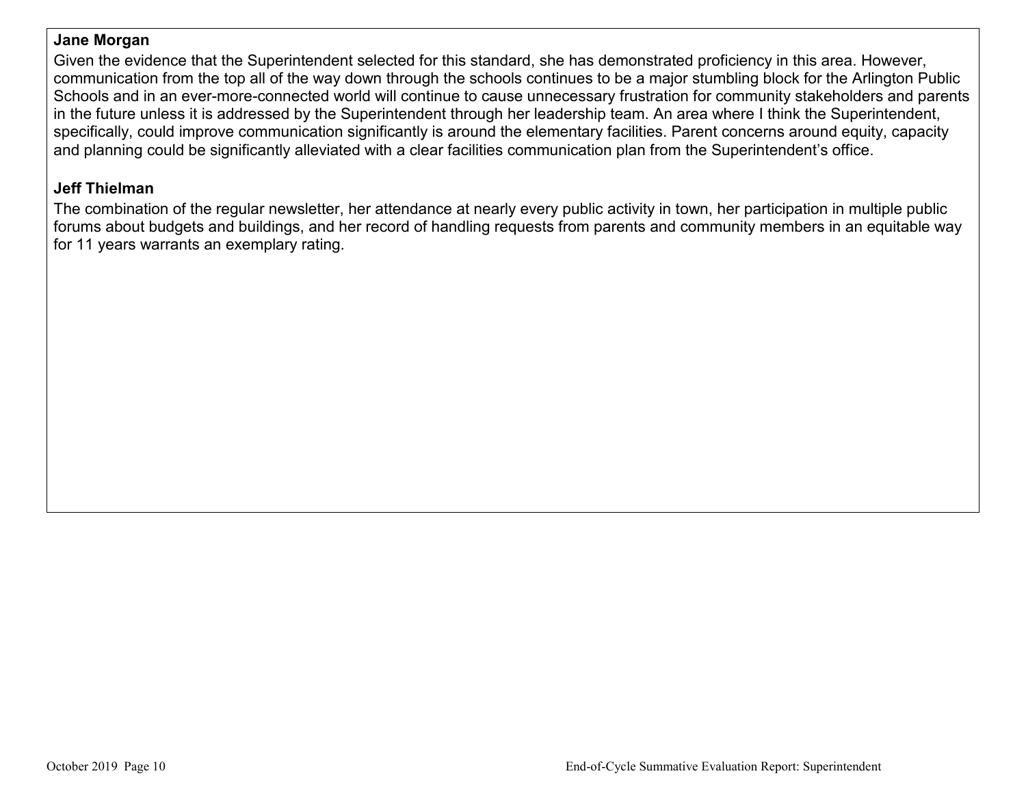# **Jane Morgan**

Given the evidence that the Superintendent selected for this standard, she has demonstrated proficiency in this area. However, communication from the top all of the way down through the schools continues to be a major stumbling block for the Arlington Public Schools and in an ever-more-connected world will continue to cause unnecessary frustration for community stakeholders and parents in the future unless it is addressed by the Superintendent through her leadership team. An area where I think the Superintendent, specifically, could improve communication significantly is around the elementary facilities. Parent concerns around equity, capacity and planning could be significantly alleviated with a clear facilities communication plan from the Superintendent's office.

# **Jeff Thielman**

The combination of the regular newsletter, her attendance at nearly every public activity in town, her participation in multiple public forums about budgets and buildings, and her record of handling requests from parents and community members in an equitable way for 11 years warrants an exemplary rating.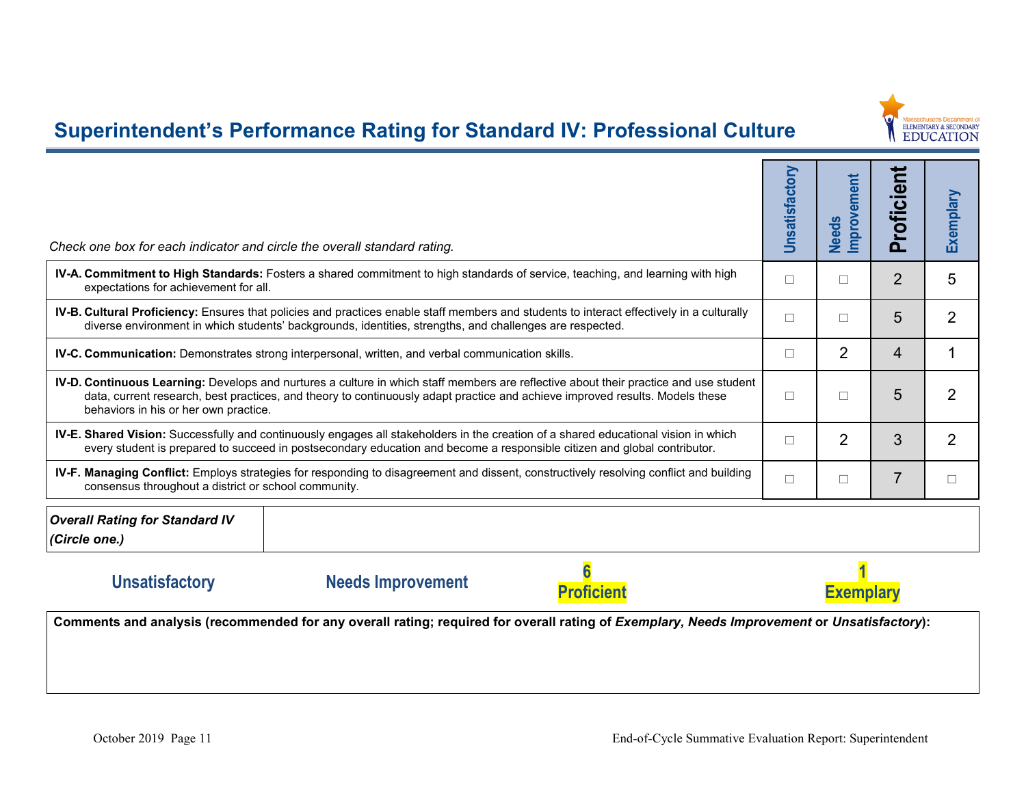

# **Superintendent's Performance Rating for Standard IV: Professional Culture**

| Check one box for each indicator and circle the overall standard rating.                                                                                                                                                                                                                                              | Unsatisfactory | Improvement<br><b>Needs</b> | roficien<br>മ  | Exemplary |  |
|-----------------------------------------------------------------------------------------------------------------------------------------------------------------------------------------------------------------------------------------------------------------------------------------------------------------------|----------------|-----------------------------|----------------|-----------|--|
| IV-A. Commitment to High Standards: Fosters a shared commitment to high standards of service, teaching, and learning with high<br>expectations for achievement for all.                                                                                                                                               |                | П                           | $\overline{2}$ | 5         |  |
| IV-B. Cultural Proficiency: Ensures that policies and practices enable staff members and students to interact effectively in a culturally<br>diverse environment in which students' backgrounds, identities, strengths, and challenges are respected.                                                                 |                | П                           | 5              | 2         |  |
| IV-C. Communication: Demonstrates strong interpersonal, written, and verbal communication skills.                                                                                                                                                                                                                     |                | $\overline{2}$              | 4              |           |  |
| <b>IV-D. Continuous Learning:</b> Develops and nurtures a culture in which staff members are reflective about their practice and use student<br>data, current research, best practices, and theory to continuously adapt practice and achieve improved results. Models these<br>behaviors in his or her own practice. |                | П                           | 5              | 2         |  |
| IV-E. Shared Vision: Successfully and continuously engages all stakeholders in the creation of a shared educational vision in which<br>every student is prepared to succeed in postsecondary education and become a responsible citizen and global contributor.                                                       |                | $\overline{2}$              | 3              | 2         |  |
| <b>IV-F. Managing Conflict:</b> Employs strategies for responding to disagreement and dissent, constructively resolving conflict and building<br>consensus throughout a district or school community.                                                                                                                 |                | П                           | $\overline{7}$ |           |  |
| <b>Overall Rating for Standard IV</b><br>(Circle one.)                                                                                                                                                                                                                                                                |                |                             |                |           |  |

# **Unsatisfactory Needs Improvement**





Comments and analysis (recommended for any overall rating; required for overall rating of *Exemplary*, Needs Improvement or Unsatisfactory):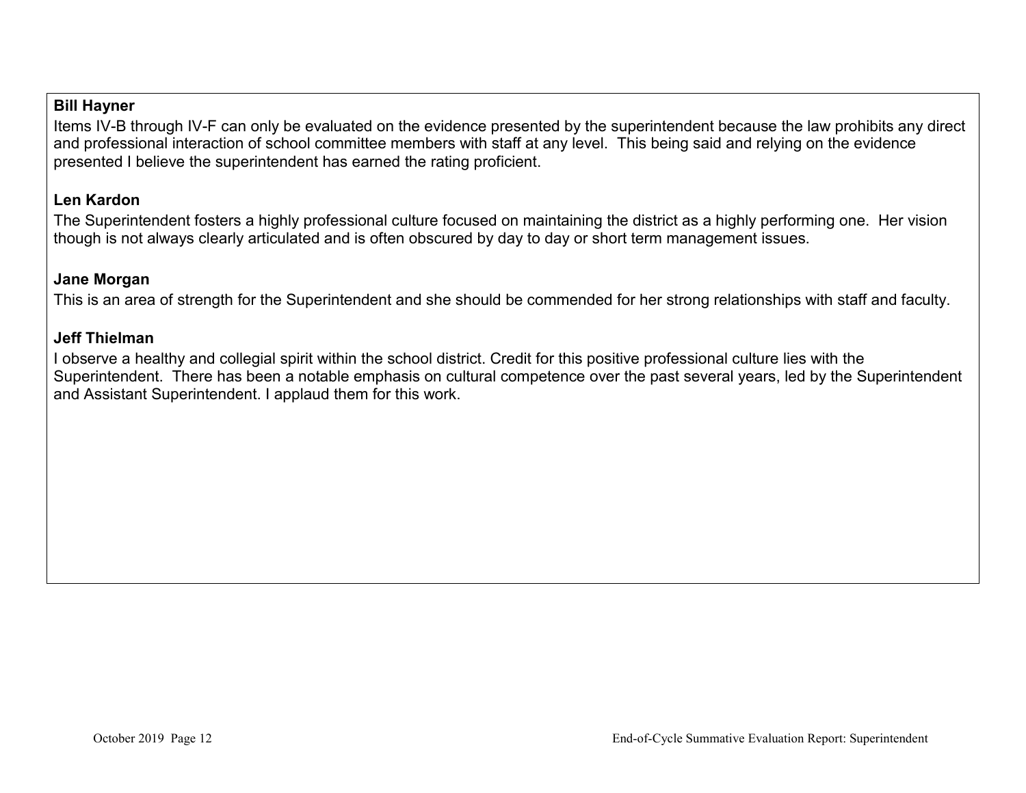### **Bill Hayner**

Items IV-B through IV-F can only be evaluated on the evidence presented by the superintendent because the law prohibits any direct and professional interaction of school committee members with staff at any level. This being said and relying on the evidence presented I believe the superintendent has earned the rating proficient.

# **Len Kardon**

The Superintendent fosters a highly professional culture focused on maintaining the district as a highly performing one. Her vision though is not always clearly articulated and is often obscured by day to day or short term management issues.

### **Jane Morgan**

This is an area of strength for the Superintendent and she should be commended for her strong relationships with staff and faculty.

#### **Jeff Thielman**

I observe a healthy and collegial spirit within the school district. Credit for this positive professional culture lies with the Superintendent. There has been a notable emphasis on cultural competence over the past several years, led by the Superintendent and Assistant Superintendent. I applaud them for this work.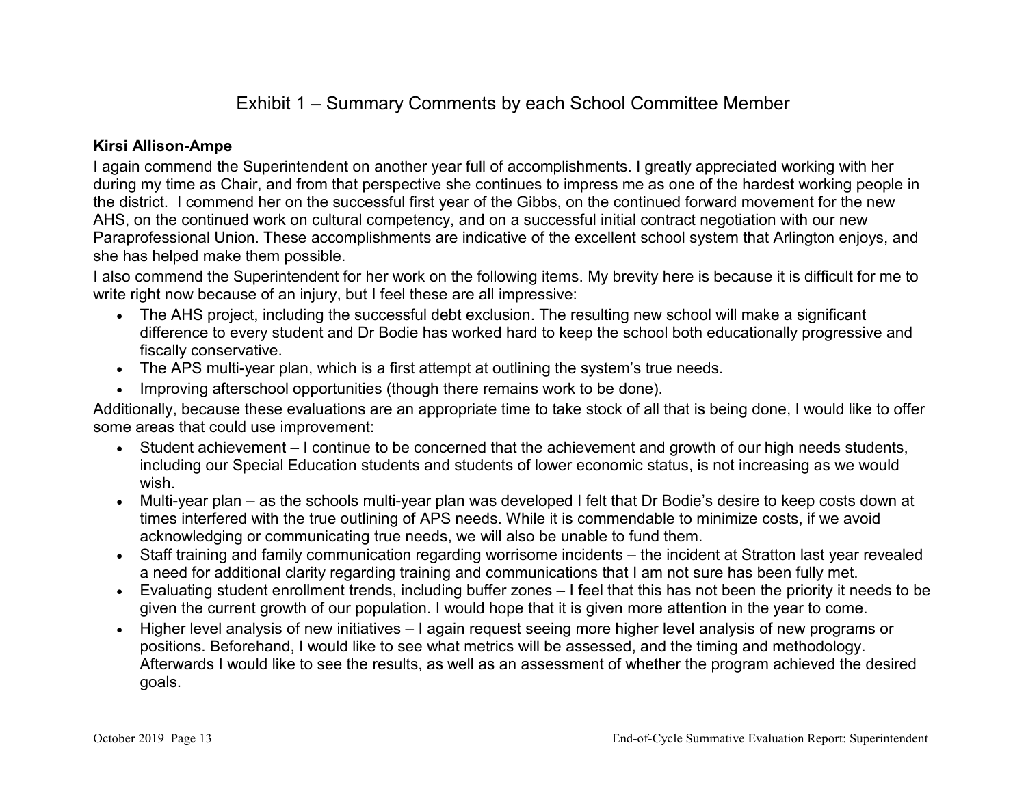# Exhibit 1 – Summary Comments by each School Committee Member

### **Kirsi Allison-Ampe**

I again commend the Superintendent on another year full of accomplishments. I greatly appreciated working with her during my time as Chair, and from that perspective she continues to impress me as one of the hardest working people in the district. I commend her on the successful first year of the Gibbs, on the continued forward movement for the new AHS, on the continued work on cultural competency, and on a successful initial contract negotiation with our new Paraprofessional Union. These accomplishments are indicative of the excellent school system that Arlington enjoys, and she has helped make them possible.

I also commend the Superintendent for her work on the following items. My brevity here is because it is difficult for me to write right now because of an injury, but I feel these are all impressive:

- The AHS project, including the successful debt exclusion. The resulting new school will make a significant difference to every student and Dr Bodie has worked hard to keep the school both educationally progressive and fiscally conservative.
- The APS multi-year plan, which is a first attempt at outlining the system's true needs.
- Improving afterschool opportunities (though there remains work to be done).

Additionally, because these evaluations are an appropriate time to take stock of all that is being done, I would like to offer some areas that could use improvement:

- Student achievement I continue to be concerned that the achievement and growth of our high needs students, including our Special Education students and students of lower economic status, is not increasing as we would wish.
- Multi-year plan as the schools multi-year plan was developed I felt that Dr Bodie's desire to keep costs down at times interfered with the true outlining of APS needs. While it is commendable to minimize costs, if we avoid acknowledging or communicating true needs, we will also be unable to fund them.
- Staff training and family communication regarding worrisome incidents the incident at Stratton last year revealed a need for additional clarity regarding training and communications that I am not sure has been fully met.
- Evaluating student enrollment trends, including buffer zones I feel that this has not been the priority it needs to be given the current growth of our population. I would hope that it is given more attention in the year to come.
- Higher level analysis of new initiatives I again request seeing more higher level analysis of new programs or positions. Beforehand, I would like to see what metrics will be assessed, and the timing and methodology. Afterwards I would like to see the results, as well as an assessment of whether the program achieved the desired goals.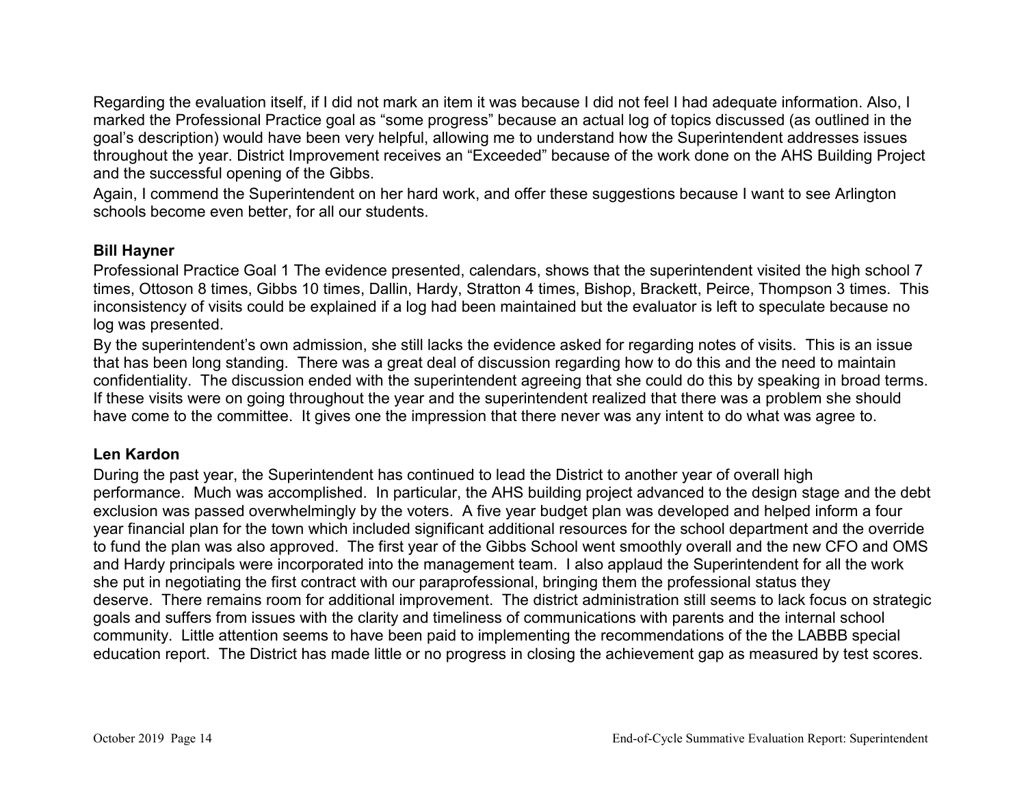Regarding the evaluation itself, if I did not mark an item it was because I did not feel I had adequate information. Also, I marked the Professional Practice goal as "some progress" because an actual log of topics discussed (as outlined in the goal's description) would have been very helpful, allowing me to understand how the Superintendent addresses issues throughout the year. District Improvement receives an "Exceeded" because of the work done on the AHS Building Project and the successful opening of the Gibbs.

Again, I commend the Superintendent on her hard work, and offer these suggestions because I want to see Arlington schools become even better, for all our students.

### **Bill Hayner**

Professional Practice Goal 1 The evidence presented, calendars, shows that the superintendent visited the high school 7 times, Ottoson 8 times, Gibbs 10 times, Dallin, Hardy, Stratton 4 times, Bishop, Brackett, Peirce, Thompson 3 times. This inconsistency of visits could be explained if a log had been maintained but the evaluator is left to speculate because no log was presented.

By the superintendent's own admission, she still lacks the evidence asked for regarding notes of visits. This is an issue that has been long standing. There was a great deal of discussion regarding how to do this and the need to maintain confidentiality. The discussion ended with the superintendent agreeing that she could do this by speaking in broad terms. If these visits were on going throughout the year and the superintendent realized that there was a problem she should have come to the committee. It gives one the impression that there never was any intent to do what was agree to.

# **Len Kardon**

During the past year, the Superintendent has continued to lead the District to another year of overall high performance. Much was accomplished. In particular, the AHS building project advanced to the design stage and the debt exclusion was passed overwhelmingly by the voters. A five year budget plan was developed and helped inform a four year financial plan for the town which included significant additional resources for the school department and the override to fund the plan was also approved. The first year of the Gibbs School went smoothly overall and the new CFO and OMS and Hardy principals were incorporated into the management team. I also applaud the Superintendent for all the work she put in negotiating the first contract with our paraprofessional, bringing them the professional status they deserve. There remains room for additional improvement. The district administration still seems to lack focus on strategic goals and suffers from issues with the clarity and timeliness of communications with parents and the internal school community. Little attention seems to have been paid to implementing the recommendations of the the LABBB special education report. The District has made little or no progress in closing the achievement gap as measured by test scores.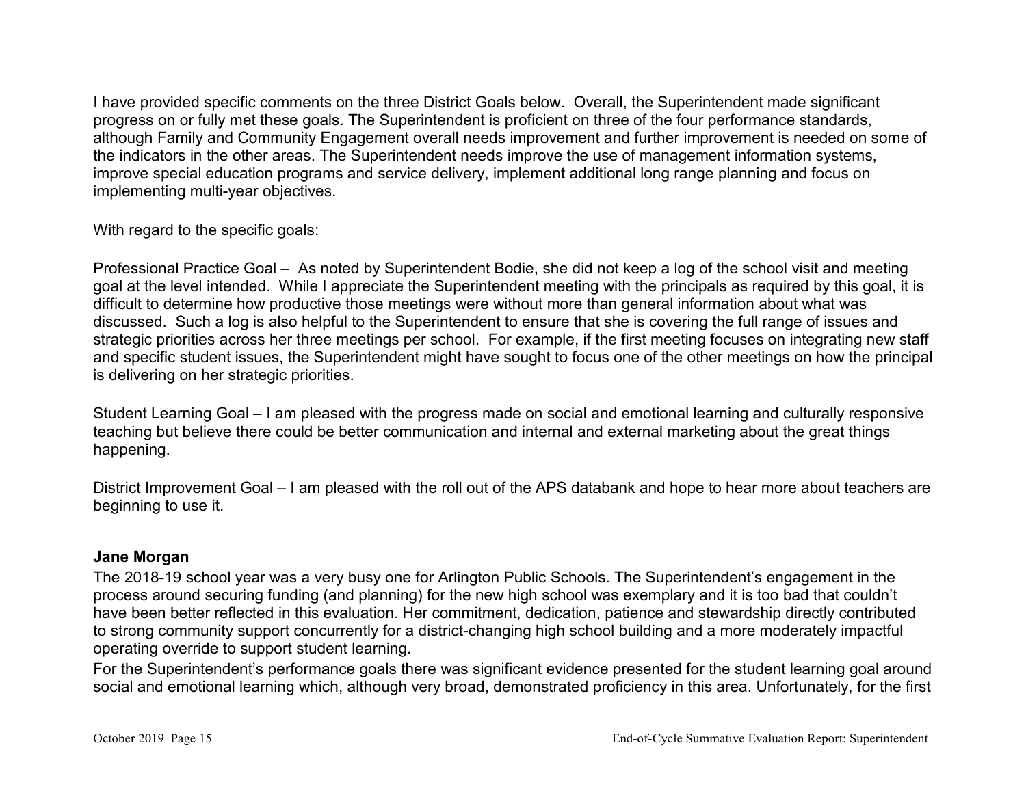I have provided specific comments on the three District Goals below. Overall, the Superintendent made significant progress on or fully met these goals. The Superintendent is proficient on three of the four performance standards, although Family and Community Engagement overall needs improvement and further improvement is needed on some of the indicators in the other areas. The Superintendent needs improve the use of management information systems, improve special education programs and service delivery, implement additional long range planning and focus on implementing multi-year objectives.

With regard to the specific goals:

Professional Practice Goal – As noted by Superintendent Bodie, she did not keep a log of the school visit and meeting goal at the level intended. While I appreciate the Superintendent meeting with the principals as required by this goal, it is difficult to determine how productive those meetings were without more than general information about what was discussed. Such a log is also helpful to the Superintendent to ensure that she is covering the full range of issues and strategic priorities across her three meetings per school. For example, if the first meeting focuses on integrating new staff and specific student issues, the Superintendent might have sought to focus one of the other meetings on how the principal is delivering on her strategic priorities.

Student Learning Goal – I am pleased with the progress made on social and emotional learning and culturally responsive teaching but believe there could be better communication and internal and external marketing about the great things happening.

District Improvement Goal – I am pleased with the roll out of the APS databank and hope to hear more about teachers are beginning to use it.

# **Jane Morgan**

The 2018-19 school year was a very busy one for Arlington Public Schools. The Superintendent's engagement in the process around securing funding (and planning) for the new high school was exemplary and it is too bad that couldn't have been better reflected in this evaluation. Her commitment, dedication, patience and stewardship directly contributed to strong community support concurrently for a district-changing high school building and a more moderately impactful operating override to support student learning.

For the Superintendent's performance goals there was significant evidence presented for the student learning goal around social and emotional learning which, although very broad, demonstrated proficiency in this area. Unfortunately, for the first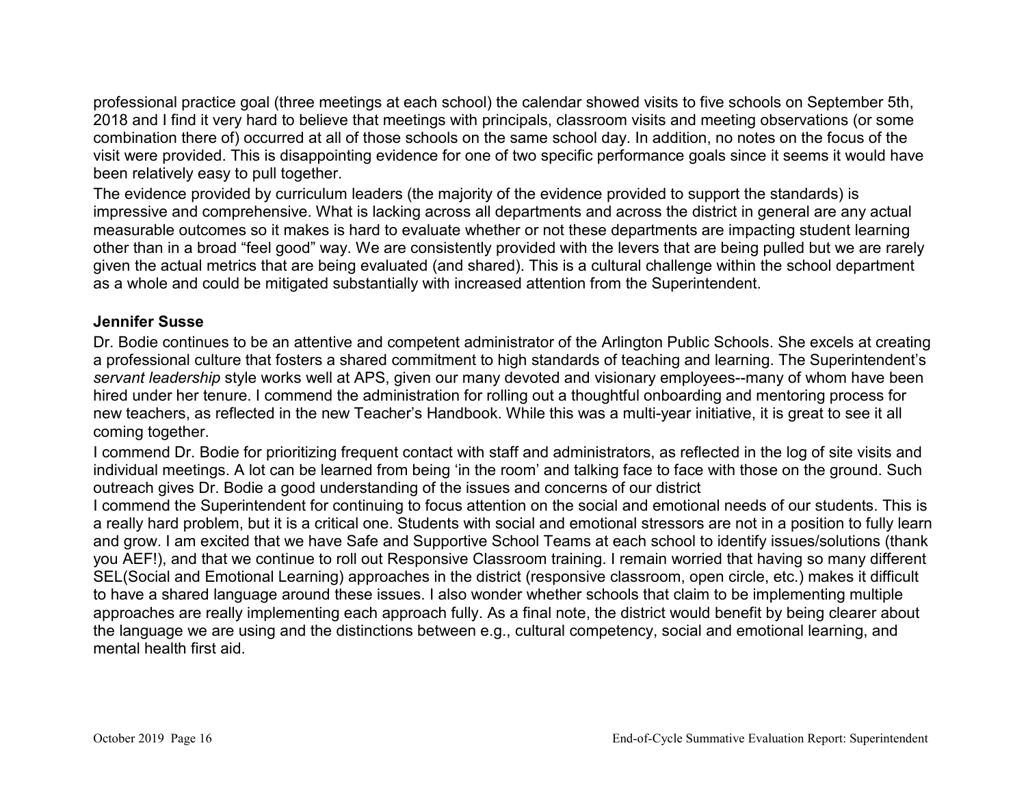professional practice goal (three meetings at each school) the calendar showed visits to five schools on September 5th, 2018 and I find it very hard to believe that meetings with principals, classroom visits and meeting observations (or some combination there of) occurred at all of those schools on the same school day. In addition, no notes on the focus of the visit were provided. This is disappointing evidence for one of two specific performance goals since it seems it would have been relatively easy to pull together.

The evidence provided by curriculum leaders (the majority of the evidence provided to support the standards) is impressive and comprehensive. What is lacking across all departments and across the district in general are any actual measurable outcomes so it makes is hard to evaluate whether or not these departments are impacting student learning other than in a broad "feel good" way. We are consistently provided with the levers that are being pulled but we are rarely given the actual metrics that are being evaluated (and shared). This is a cultural challenge within the school department as a whole and could be mitigated substantially with increased attention from the Superintendent.

#### **Jennifer Susse**

Dr. Bodie continues to be an attentive and competent administrator of the Arlington Public Schools. She excels at creating a professional culture that fosters a shared commitment to high standards of teaching and learning. The Superintendent's *servant leadership* style works well at APS, given our many devoted and visionary employees--many of whom have been hired under her tenure. I commend the administration for rolling out a thoughtful onboarding and mentoring process for new teachers, as reflected in the new Teacher's Handbook. While this was a multi-year initiative, it is great to see it all coming together.

I commend Dr. Bodie for prioritizing frequent contact with staff and administrators, as reflected in the log of site visits and individual meetings. A lot can be learned from being 'in the room' and talking face to face with those on the ground. Such outreach gives Dr. Bodie a good understanding of the issues and concerns of our district

I commend the Superintendent for continuing to focus attention on the social and emotional needs of our students. This is a really hard problem, but it is a critical one. Students with social and emotional stressors are not in a position to fully learn and grow. I am excited that we have Safe and Supportive School Teams at each school to identify issues/solutions (thank you AEF!), and that we continue to roll out Responsive Classroom training. I remain worried that having so many different SEL(Social and Emotional Learning) approaches in the district (responsive classroom, open circle, etc.) makes it difficult to have a shared language around these issues. I also wonder whether schools that claim to be implementing multiple approaches are really implementing each approach fully. As a final note, the district would benefit by being clearer about the language we are using and the distinctions between e.g., cultural competency, social and emotional learning, and mental health first aid.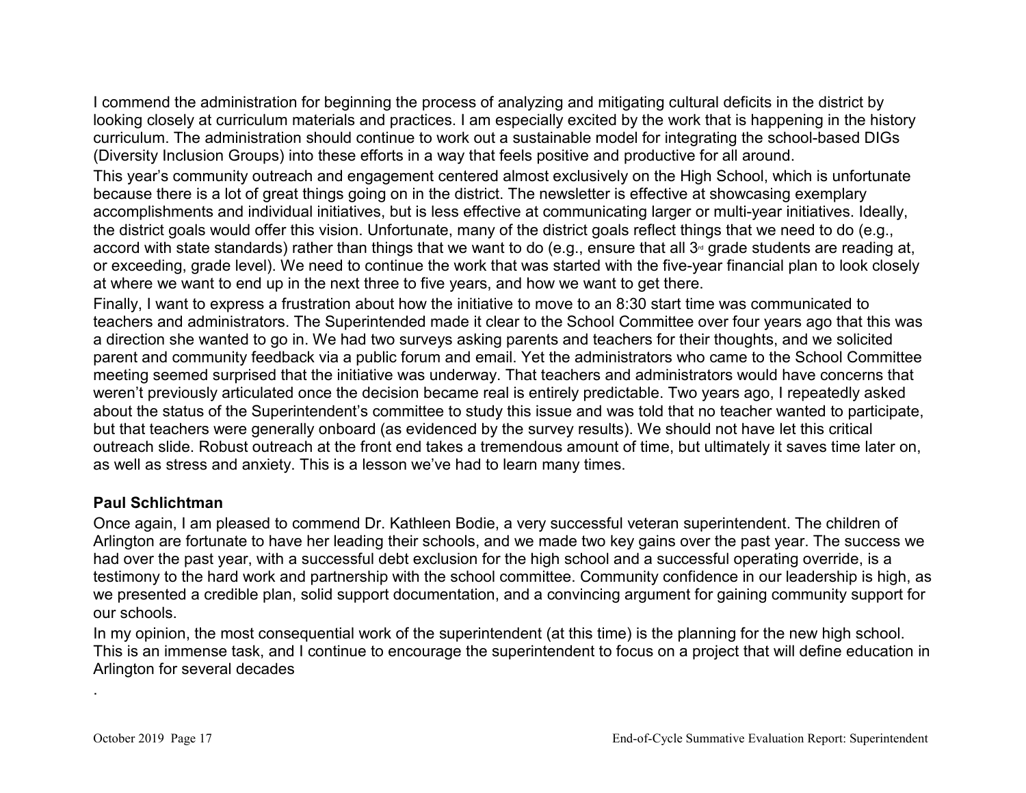I commend the administration for beginning the process of analyzing and mitigating cultural deficits in the district by looking closely at curriculum materials and practices. I am especially excited by the work that is happening in the history curriculum. The administration should continue to work out a sustainable model for integrating the school-based DIGs (Diversity Inclusion Groups) into these efforts in a way that feels positive and productive for all around.

This year's community outreach and engagement centered almost exclusively on the High School, which is unfortunate because there is a lot of great things going on in the district. The newsletter is effective at showcasing exemplary accomplishments and individual initiatives, but is less effective at communicating larger or multi-year initiatives. Ideally, the district goals would offer this vision. Unfortunate, many of the district goals reflect things that we need to do (e.g., accord with state standards) rather than things that we want to do (e.g., ensure that all  $3<sup>nd</sup>$  grade students are reading at, or exceeding, grade level). We need to continue the work that was started with the five-year financial plan to look closely at where we want to end up in the next three to five years, and how we want to get there.

Finally, I want to express a frustration about how the initiative to move to an 8:30 start time was communicated to teachers and administrators. The Superintended made it clear to the School Committee over four years ago that this was a direction she wanted to go in. We had two surveys asking parents and teachers for their thoughts, and we solicited parent and community feedback via a public forum and email. Yet the administrators who came to the School Committee meeting seemed surprised that the initiative was underway. That teachers and administrators would have concerns that weren't previously articulated once the decision became real is entirely predictable. Two years ago, I repeatedly asked about the status of the Superintendent's committee to study this issue and was told that no teacher wanted to participate, but that teachers were generally onboard (as evidenced by the survey results). We should not have let this critical outreach slide. Robust outreach at the front end takes a tremendous amount of time, but ultimately it saves time later on, as well as stress and anxiety. This is a lesson we've had to learn many times.

#### **Paul Schlichtman**

Once again, I am pleased to commend Dr. Kathleen Bodie, a very successful veteran superintendent. The children of Arlington are fortunate to have her leading their schools, and we made two key gains over the past year. The success we had over the past year, with a successful debt exclusion for the high school and a successful operating override, is a testimony to the hard work and partnership with the school committee. Community confidence in our leadership is high, as we presented a credible plan, solid support documentation, and a convincing argument for gaining community support for our schools.

In my opinion, the most consequential work of the superintendent (at this time) is the planning for the new high school. This is an immense task, and I continue to encourage the superintendent to focus on a project that will define education in Arlington for several decades

.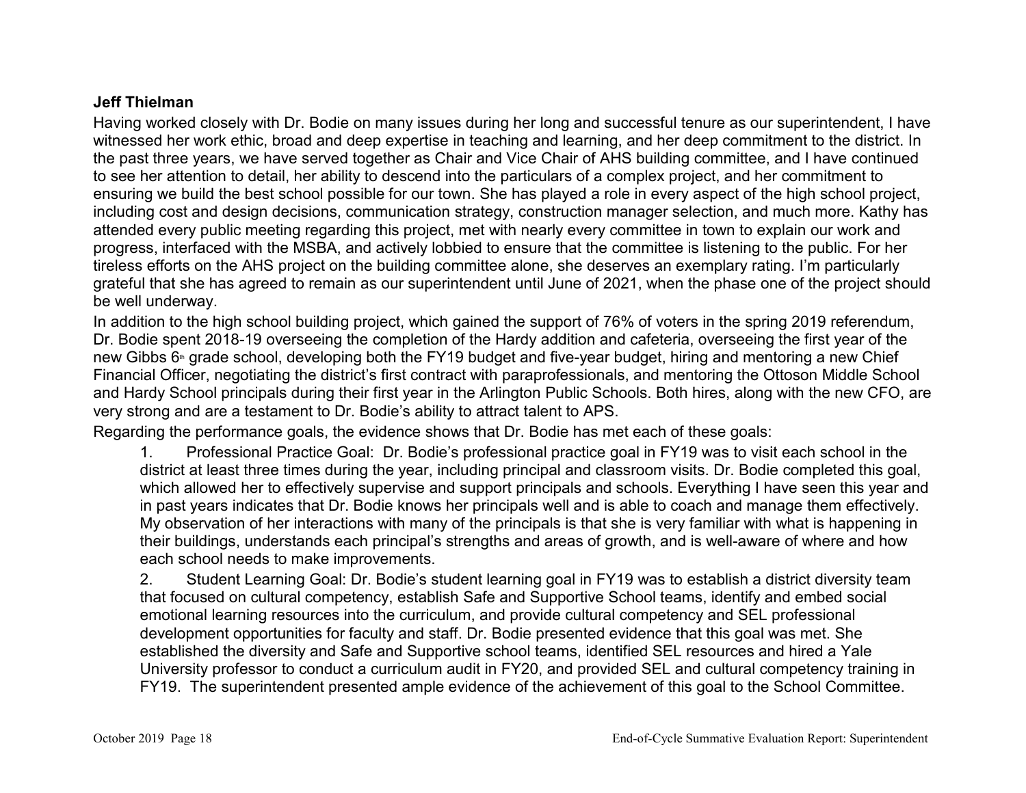### **Jeff Thielman**

Having worked closely with Dr. Bodie on many issues during her long and successful tenure as our superintendent, I have witnessed her work ethic, broad and deep expertise in teaching and learning, and her deep commitment to the district. In the past three years, we have served together as Chair and Vice Chair of AHS building committee, and I have continued to see her attention to detail, her ability to descend into the particulars of a complex project, and her commitment to ensuring we build the best school possible for our town. She has played a role in every aspect of the high school project, including cost and design decisions, communication strategy, construction manager selection, and much more. Kathy has attended every public meeting regarding this project, met with nearly every committee in town to explain our work and progress, interfaced with the MSBA, and actively lobbied to ensure that the committee is listening to the public. For her tireless efforts on the AHS project on the building committee alone, she deserves an exemplary rating. I'm particularly grateful that she has agreed to remain as our superintendent until June of 2021, when the phase one of the project should be well underway.

In addition to the high school building project, which gained the support of 76% of voters in the spring 2019 referendum, Dr. Bodie spent 2018-19 overseeing the completion of the Hardy addition and cafeteria, overseeing the first year of the new Gibbs 6<sup>th</sup> grade school, developing both the FY19 budget and five-year budget, hiring and mentoring a new Chief Financial Officer, negotiating the district's first contract with paraprofessionals, and mentoring the Ottoson Middle School and Hardy School principals during their first year in the Arlington Public Schools. Both hires, along with the new CFO, are very strong and are a testament to Dr. Bodie's ability to attract talent to APS.

Regarding the performance goals, the evidence shows that Dr. Bodie has met each of these goals:

1. Professional Practice Goal: Dr. Bodie's professional practice goal in FY19 was to visit each school in the district at least three times during the year, including principal and classroom visits. Dr. Bodie completed this goal, which allowed her to effectively supervise and support principals and schools. Everything I have seen this year and in past years indicates that Dr. Bodie knows her principals well and is able to coach and manage them effectively. My observation of her interactions with many of the principals is that she is very familiar with what is happening in their buildings, understands each principal's strengths and areas of growth, and is well-aware of where and how each school needs to make improvements.

2. Student Learning Goal: Dr. Bodie's student learning goal in FY19 was to establish a district diversity team that focused on cultural competency, establish Safe and Supportive School teams, identify and embed social emotional learning resources into the curriculum, and provide cultural competency and SEL professional development opportunities for faculty and staff. Dr. Bodie presented evidence that this goal was met. She established the diversity and Safe and Supportive school teams, identified SEL resources and hired a Yale University professor to conduct a curriculum audit in FY20, and provided SEL and cultural competency training in FY19. The superintendent presented ample evidence of the achievement of this goal to the School Committee.